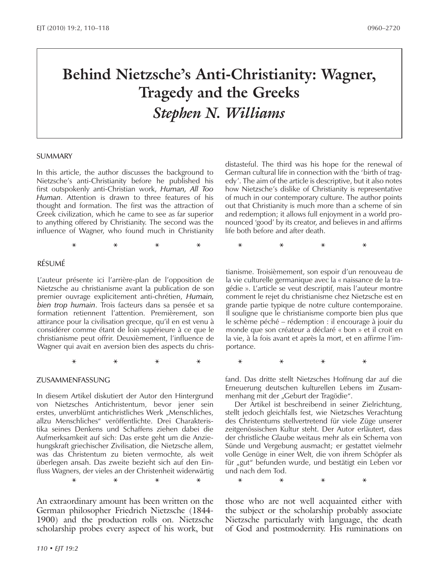# **Behind Nietzsche's Anti-Christianity: Wagner, Tragedy and the Greeks** *Stephen N. Williams*

#### SUMMARY

In this article, the author discusses the background to Nietzsche's anti-Christianity before he published his first outspokenly anti-Christian work, *Human, All Too Human*. Attention is drawn to three features of his thought and formation. The first was the attraction of Greek civilization, which he came to see as far superior to anything offered by Christianity. The second was the influence of Wagner, who found much in Christianity

#### RÉSUMÉ

L'auteur présente ici l'arrière-plan de l'opposition de Nietzsche au christianisme avant la publication de son premier ouvrage explicitement anti-chrétien, *Humain, bien trop humain*. Trois facteurs dans sa pensée et sa formation retiennent l'attention. Premièrement, son attirance pour la civilisation grecque, qu'il en est venu à considérer comme étant de loin supérieure à ce que le christianisme peut offrir. Deuxièmement, l'influence de Wagner qui avait en aversion bien des aspects du chris-

#### ZUSAMMENFASSUNG

In diesem Artikel diskutiert der Autor den Hintergrund von Nietzsches Antichristentum, bevor jener sein erstes, unverblümt antichristliches Werk "Menschliches, allzu Menschliches" veröffentlichte. Drei Charakteristika seines Denkens und Schaffens ziehen dabei die Aufmerksamkeit auf sich: Das erste geht um die Anziehungskraft griechischer Zivilisation, die Nietzsche allem, was das Christentum zu bieten vermochte, als weit überlegen ansah. Das zweite bezieht sich auf den Einfluss Wagners, der vieles an der Christenheit widerwärtig

An extraordinary amount has been written on the German philosopher Friedrich Nietzsche (1844- 1900) and the production rolls on. Nietzsche scholarship probes every aspect of his work, but distasteful. The third was his hope for the renewal of German cultural life in connection with the 'birth of tragedy'. The aim of the article is descriptive, but it also notes how Nietzsche's dislike of Christianity is representative of much in our contemporary culture. The author points out that Christianity is much more than a scheme of sin and redemption; it allows full enjoyment in a world pronounced 'good' by its creator, and believes in and affirms life both before and after death.

**\* \* \* \* \* \* \* \***

tianisme. Troisièmement, son espoir d'un renouveau de la vie culturelle germanique avec la « naissance de la tragédie ». L'article se veut descriptif, mais l'auteur montre comment le rejet du christianisme chez Nietzsche est en grande partie typique de notre culture contemporaine. Il souligne que le christianisme comporte bien plus que le schème péché – rédemption : il encourage à jouir du monde que son créateur a déclaré « bon » et il croit en la vie, à la fois avant et après la mort, et en affirme l'importance.

**\* \* \* \* \* \* \* \***

fand. Das dritte stellt Nietzsches Hoffnung dar auf die Erneuerung deutschen kulturellen Lebens im Zusammenhang mit der "Geburt der Tragödie".

Der Artikel ist beschreibend in seiner Zielrichtung, stellt jedoch gleichfalls fest, wie Nietzsches Verachtung des Christentums stellvertretend für viele Züge unserer zeitgenössischen Kultur steht. Der Autor erläutert, dass der christliche Glaube weitaus mehr als ein Schema von Sünde und Vergebung ausmacht; er gestattet vielmehr volle Genüge in einer Welt, die von ihrem Schöpfer als für "gut" befunden wurde, und bestätigt ein Leben vor und nach dem Tod.

**\* \* \* \* \* \* \* \***

those who are not well acquainted either with the subject or the scholarship probably associate Nietzsche particularly with language, the death of God and postmodernity. His ruminations on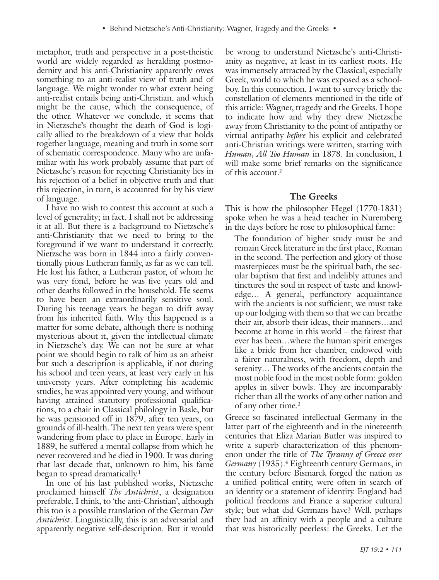metaphor, truth and perspective in a post-theistic world are widely regarded as heralding postmodernity and his anti-Christianity apparently owes something to an anti-realist view of truth and of language. We might wonder to what extent being anti-realist entails being anti-Christian, and which might be the cause, which the consequence, of the other. Whatever we conclude, it seems that in Nietzsche's thought the death of God is logically allied to the breakdown of a view that holds together language, meaning and truth in some sort of schematic correspondence. Many who are unfamiliar with his work probably assume that part of Nietzsche's reason for rejecting Christianity lies in his rejection of a belief in objective truth and that this rejection, in turn, is accounted for by his view of language.

I have no wish to contest this account at such a level of generality; in fact, I shall not be addressing it at all. But there is a background to Nietzsche's anti-Christianity that we need to bring to the foreground if we want to understand it correctly. Nietzsche was born in 1844 into a fairly conventionally pious Lutheran family, as far as we can tell. He lost his father, a Lutheran pastor, of whom he was very fond, before he was five years old and other deaths followed in the household. He seems to have been an extraordinarily sensitive soul. During his teenage years he began to drift away from his inherited faith. Why this happened is a matter for some debate, although there is nothing mysterious about it, given the intellectual climate in Nietzsche's day. We can not be sure at what point we should begin to talk of him as an atheist but such a description is applicable, if not during his school and teen years, at least very early in his university years. After completing his academic studies, he was appointed very young, and without having attained statutory professional qualifications, to a chair in Classical philology in Basle, but he was pensioned off in 1879, after ten years, on grounds of ill-health. The next ten years were spent wandering from place to place in Europe. Early in 1889, he suffered a mental collapse from which he never recovered and he died in 1900. It was during that last decade that, unknown to him, his fame began to spread dramatically.<sup>1</sup>

In one of his last published works, Nietzsche proclaimed himself *The Antichrist*, a designation preferable, I think, to 'the anti-Christian', although this too is a possible translation of the German *Der Antichrist*. Linguistically, this is an adversarial and apparently negative self-description. But it would

be wrong to understand Nietzsche's anti-Christianity as negative, at least in its earliest roots. He was immensely attracted by the Classical, especially Greek, world to which he was exposed as a schoolboy. In this connection, I want to survey briefly the constellation of elements mentioned in the title of this article: Wagner, tragedy and the Greeks. I hope to indicate how and why they drew Nietzsche away from Christianity to the point of antipathy or virtual antipathy *before* his explicit and celebrated anti-Christian writings were written, starting with *Human, All Too Human* in 1878. In conclusion, I will make some brief remarks on the significance of this account.<sup>2</sup>

## **The Greeks**

This is how the philosopher Hegel (1770-1831) spoke when he was a head teacher in Nuremberg in the days before he rose to philosophical fame:

The foundation of higher study must be and remain Greek literature in the first place, Roman in the second. The perfection and glory of those masterpieces must be the spiritual bath, the secular baptism that first and indelibly attunes and tinctures the soul in respect of taste and knowledge… A general, perfunctory acquaintance with the ancients is not sufficient; we must take up our lodging with them so that we can breathe their air, absorb their ideas, their manners…and become at home in this world – the fairest that ever has been…where the human spirit emerges like a bride from her chamber, endowed with a fairer naturalness, with freedom, depth and serenity… The works of the ancients contain the most noble food in the most noble form: golden apples in silver bowls. They are incomparably richer than all the works of any other nation and of any other time.3

Greece so fascinated intellectual Germany in the latter part of the eighteenth and in the nineteenth centuries that Eliza Marian Butler was inspired to write a superb characterization of this phenomenon under the title of *The Tyranny of Greece over Germany* (1935).4 Eighteenth century Germans, in the century before Bismarck forged the nation as a unified political entity, were often in search of an identity or a statement of identity. England had political freedoms and France a superior cultural style; but what did Germans have? Well, perhaps they had an affinity with a people and a culture that was historically peerless: the Greeks. Let the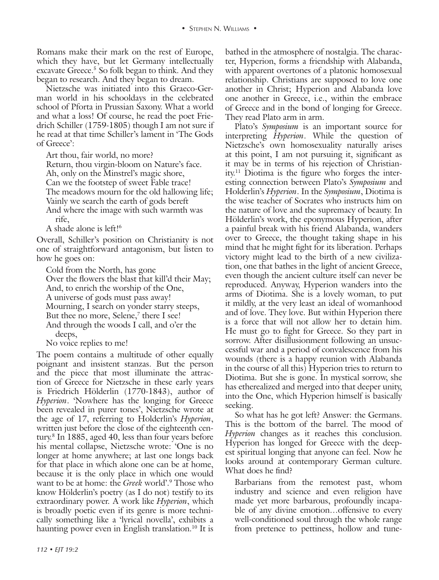Romans make their mark on the rest of Europe, which they have, but let Germany intellectually excavate Greece.5 So folk began to think. And they began to research. And they began to dream.

Nietzsche was initiated into this Graeco-German world in his schooldays in the celebrated school of Pforta in Prussian Saxony. What a world and what a loss! Of course, he read the poet Friedrich Schiller (1759-1805) though I am not sure if he read at that time Schiller's lament in 'The Gods of Greece':

Art thou, fair world, no more?

Return, thou virgin-bloom on Nature's face. Ah, only on the Minstrel's magic shore, Can we the footstep of sweet Fable trace! The meadows mourn for the old hallowing life; Vainly we search the earth of gods bereft And where the image with such warmth was rife,

A shade alone is left!<sup>6</sup>

Overall, Schiller's position on Christianity is not one of straightforward antagonism, but listen to how he goes on:

Cold from the North, has gone Over the flowers the blast that kill'd their May; And, to enrich the worship of the One, A universe of gods must pass away! Mourning, I search on yonder starry steeps, But thee no more, Selene,<sup>7</sup> there I see! And through the woods I call, and o'er the deeps,

No voice replies to me!

The poem contains a multitude of other equally poignant and insistent stanzas. But the person and the piece that most illuminate the attraction of Greece for Nietzsche in these early years is Friedrich Hölderlin (1770-1843), author of *Hyperion*. 'Nowhere has the longing for Greece been revealed in purer tones', Nietzsche wrote at the age of 17, referring to Holderlin's *Hyperion*, written just before the close of the eighteenth century.8 In 1885, aged 40, less than four years before his mental collapse, Nietzsche wrote: 'One is no longer at home anywhere; at last one longs back for that place in which alone one can be at home, because it is the only place in which one would want to be at home: the *Greek* world'.9 Those who know Hölderlin's poetry (as I do not) testify to its extraordinary power. A work like *Hyperion*, which is broadly poetic even if its genre is more technically something like a 'lyrical novella', exhibits a haunting power even in English translation.<sup>10</sup> It is

bathed in the atmosphere of nostalgia. The character, Hyperion, forms a friendship with Alabanda, with apparent overtones of a platonic homosexual relationship. Christians are supposed to love one another in Christ; Hyperion and Alabanda love one another in Greece, i.e., within the embrace of Greece and in the bond of longing for Greece. They read Plato arm in arm.

Plato's *Symposium* is an important source for interpreting *Hyperion*. While the question of Nietzsche's own homosexuality naturally arises at this point, I am not pursuing it, significant as it may be in terms of his rejection of Christianity.11 Diotima is the figure who forges the interesting connection between Plato's *Symposium* and Holderlin's *Hyperion*. In the *Symposium*, Diotima is the wise teacher of Socrates who instructs him on the nature of love and the supremacy of beauty. In Hölderlin's work, the eponymous Hyperion, after a painful break with his friend Alabanda, wanders over to Greece, the thought taking shape in his mind that he might fight for its liberation. Perhaps victory might lead to the birth of a new civilization, one that bathes in the light of ancient Greece, even though the ancient culture itself can never be reproduced. Anyway, Hyperion wanders into the arms of Diotima. She is a lovely woman, to put it mildly, at the very least an ideal of womanhood and of love. They love. But within Hyperion there is a force that will not allow her to detain him. He must go to fight for Greece. So they part in sorrow. After disillusionment following an unsuccessful war and a period of convalescence from his wounds (there is a happy reunion with Alabanda in the course of all this) Hyperion tries to return to Diotima. But she is gone. In mystical sorrow, she has etherealized and merged into that deeper unity, into the One, which Hyperion himself is basically seeking.

So what has he got left? Answer: the Germans. This is the bottom of the barrel. The mood of *Hyperion* changes as it reaches this conclusion. Hyperion has longed for Greece with the deepest spiritual longing that anyone can feel. Now he looks around at contemporary German culture. What does he find?

Barbarians from the remotest past, whom industry and science and even religion have made yet more barbarous, profoundly incapable of any divine emotion…offensive to every well-conditioned soul through the whole range from pretence to pettiness, hollow and tune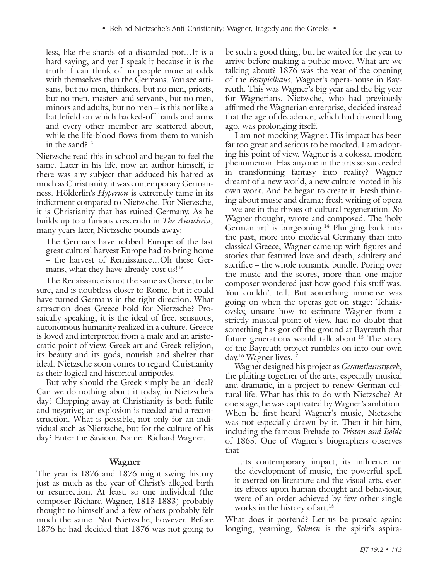less, like the shards of a discarded pot…It is a hard saying, and yet I speak it because it is the truth: I can think of no people more at odds with themselves than the Germans. You see artisans, but no men, thinkers, but no men, priests, but no men, masters and servants, but no men, minors and adults, but no men – is this not like a battlefield on which hacked-off hands and arms and every other member are scattered about, while the life-blood flows from them to vanish in the sand?12

Nietzsche read this in school and began to feel the same. Later in his life, now an author himself, if there was any subject that adduced his hatred as much as Christianity, it was contemporary Germanness. Hölderlin's *Hyperion* is extremely tame in its indictment compared to Nietzsche. For Nietzsche, it is Christianity that has ruined Germany. As he builds up to a furious crescendo in *The Antichrist,*  many years later, Nietzsche pounds away:

The Germans have robbed Europe of the last great cultural harvest Europe had to bring home – the harvest of Renaissance…Oh these Germans, what they have already cost us!<sup>13</sup>

The Renaissance is not the same as Greece, to be sure, and is doubtless closer to Rome, but it could have turned Germans in the right direction. What attraction does Greece hold for Nietzsche? Prosaically speaking, it is the ideal of free, sensuous, autonomous humanity realized in a culture. Greece is loved and interpreted from a male and an aristocratic point of view. Greek art and Greek religion, its beauty and its gods, nourish and shelter that ideal. Nietzsche soon comes to regard Christianity as their logical and historical antipodes.

But why should the Greek simply be an ideal? Can we do nothing about it today, in Nietzsche's day? Chipping away at Christianity is both futile and negative; an explosion is needed and a reconstruction. What is possible, not only for an individual such as Nietzsche, but for the culture of his day? Enter the Saviour. Name: Richard Wagner.

## **Wagner**

The year is 1876 and 1876 might swing history just as much as the year of Christ's alleged birth or resurrection. At least, so one individual (the composer Richard Wagner, 1813-1883) probably thought to himself and a few others probably felt much the same. Not Nietzsche, however. Before 1876 he had decided that 1876 was not going to

be such a good thing, but he waited for the year to arrive before making a public move. What are we talking about? 1876 was the year of the opening of the *Festspielhaus*, Wagner's opera-house in Bayreuth. This was Wagner's big year and the big year for Wagnerians. Nietzsche, who had previously affirmed the Wagnerian enterprise, decided instead that the age of decadence, which had dawned long ago, was prolonging itself.

I am not mocking Wagner. His impact has been far too great and serious to be mocked. I am adopting his point of view. Wagner is a colossal modern phenomenon. Has anyone in the arts so succeeded in transforming fantasy into reality? Wagner dreamt of a new world, a new culture rooted in his own work. And he began to create it. Fresh thinking about music and drama; fresh writing of opera – we are in the throes of cultural regeneration. So Wagner thought, wrote and composed. The 'holy German art' is burgeoning.<sup>14</sup> Plunging back into the past, more into medieval Germany than into classical Greece, Wagner came up with figures and stories that featured love and death, adultery and sacrifice – the whole romantic bundle. Poring over the music and the scores, more than one major composer wondered just how good this stuff was. You couldn't tell. But something immense was going on when the operas got on stage: Tchaikovsky, unsure how to estimate Wagner from a strictly musical point of view, had no doubt that something has got off the ground at Bayreuth that future generations would talk about.<sup>15</sup> The story of the Bayreuth project rumbles on into our own day.16 Wagner lives.17

Wagner designed his project as *Gesamtkunstwerk*, the plaiting together of the arts, especially musical and dramatic, in a project to renew German cultural life. What has this to do with Nietzsche? At one stage, he was captivated by Wagner's ambition. When he first heard Wagner's music, Nietzsche was not especially drawn by it. Then it hit him, including the famous Prelude to *Tristan and Isolde* of 1865. One of Wagner's biographers observes that

…its contemporary impact, its influence on the development of music, the powerful spell it exerted on literature and the visual arts, even its effects upon human thought and behaviour, were of an order achieved by few other single works in the history of art.<sup>18</sup>

What does it portend? Let us be prosaic again: longing, yearning, *Sehnen* is the spirit's aspira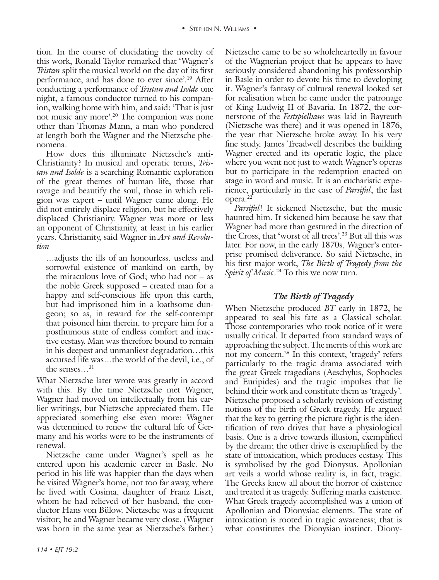tion. In the course of elucidating the novelty of this work, Ronald Taylor remarked that 'Wagner's *Tristan* split the musical world on the day of its first performance, and has done to ever since'.19 After conducting a performance of *Tristan and Isolde* one night, a famous conductor turned to his companion, walking home with him, and said: 'That is just not music any more'.20 The companion was none other than Thomas Mann, a man who pondered at length both the Wagner and the Nietzsche phenomena.

How does this illuminate Nietzsche's anti-Christianity? In musical and operatic terms, *Tristan and Isolde* is a searching Romantic exploration of the great themes of human life, those that ravage and beautify the soul, those in which religion was expert – until Wagner came along. He did not entirely displace religion, but he effectively displaced Christianity. Wagner was more or less an opponent of Christianity, at least in his earlier years. Christianity, said Wagner in *Art and Revolution*

…adjusts the ills of an honourless, useless and sorrowful existence of mankind on earth, by the miraculous love of God; who had not  $-$  as the noble Greek supposed – created man for a happy and self-conscious life upon this earth, but had imprisoned him in a loathsome dungeon; so as, in reward for the self-contempt that poisoned him therein, to prepare him for a posthumous state of endless comfort and inactive ecstasy. Man was therefore bound to remain in his deepest and unmanliest degradation…this accursed life was…the world of the devil, i.e., of the senses…21

What Nietzsche later wrote was greatly in accord with this. By the time Nietzsche met Wagner, Wagner had moved on intellectually from his earlier writings, but Nietzsche appreciated them. He appreciated something else even more: Wagner was determined to renew the cultural life of Germany and his works were to be the instruments of renewal.

Nietzsche came under Wagner's spell as he entered upon his academic career in Basle. No period in his life was happier than the days when he visited Wagner's home, not too far away, where he lived with Cosima, daughter of Franz Liszt, whom he had relieved of her husband, the conductor Hans von Bülow. Nietzsche was a frequent visitor; he and Wagner became very close. (Wagner was born in the same year as Nietzsche's father.)

Nietzsche came to be so wholeheartedly in favour of the Wagnerian project that he appears to have seriously considered abandoning his professorship in Basle in order to devote his time to developing it. Wagner's fantasy of cultural renewal looked set for realisation when he came under the patronage of King Ludwig II of Bavaria. In 1872, the cornerstone of the *Festspielhaus* was laid in Bayreuth (Nietzsche was there) and it was opened in 1876, the year that Nietzsche broke away. In his very fine study, James Treadwell describes the building Wagner erected and its operatic logic, the place where you went not just to watch Wagner's operas but to participate in the redemption enacted on stage in word and music. It is an eucharistic experience, particularly in the case of *Parsifal*, the last opera.22

*Parsifal*! It sickened Nietzsche, but the music haunted him. It sickened him because he saw that Wagner had more than gestured in the direction of the Cross, that 'worst of all trees'.23 But all this was later. For now, in the early 1870s, Wagner's enterprise promised deliverance. So said Nietzsche, in his first major work, *The Birth of Tragedy from the Spirit of Music*. 24 To this we now turn.

# *The Birth of Tragedy*

When Nietzsche produced *BT* early in 1872, he appeared to seal his fate as a Classical scholar. Those contemporaries who took notice of it were usually critical. It departed from standard ways of approaching the subject. The merits of this work are not my concern.25 In this context, 'tragedy' refers particularly to the tragic drama associated with the great Greek tragedians (Aeschylus, Sophocles and Euripides) and the tragic impulses that lie behind their work and constitute them as 'tragedy'. Nietzsche proposed a scholarly revision of existing notions of the birth of Greek tragedy. He argued that the key to getting the picture right is the identification of two drives that have a physiological basis. One is a drive towards illusion, exemplified by the dream; the other drive is exemplified by the state of intoxication, which produces ecstasy. This is symbolised by the god Dionysus. Apollonian art veils a world whose reality is, in fact, tragic. The Greeks knew all about the horror of existence and treated it as tragedy. Suffering marks existence. What Greek tragedy accomplished was a union of Apollonian and Dionysiac elements. The state of intoxication is rooted in tragic awareness; that is what constitutes the Dionysian instinct. Diony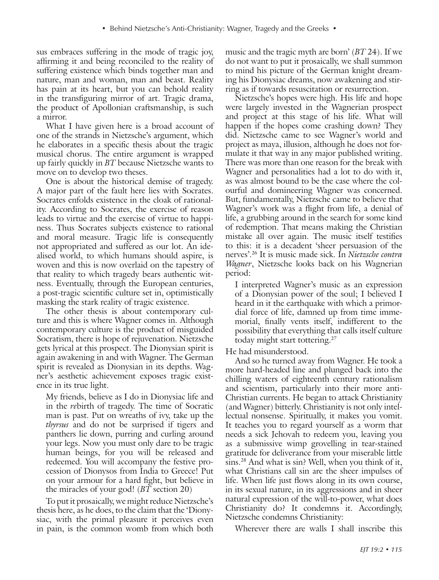sus embraces suffering in the mode of tragic joy, affirming it and being reconciled to the reality of suffering existence which binds together man and nature, man and woman, man and beast. Reality has pain at its heart, but you can behold reality in the transfiguring mirror of art. Tragic drama, the product of Apollonian craftsmanship, is such a mirror.

What I have given here is a broad account of one of the strands in Nietzsche's argument, which he elaborates in a specific thesis about the tragic musical chorus. The entire argument is wrapped up fairly quickly in *BT* because Nietzsche wants to move on to develop two theses.

One is about the historical demise of tragedy. A major part of the fault here lies with Socrates. Socrates enfolds existence in the cloak of rationality. According to Socrates, the exercise of reason leads to virtue and the exercise of virtue to happiness. Thus Socrates subjects existence to rational and moral measure. Tragic life is consequently not appropriated and suffered as our lot. An idealised world, to which humans should aspire, is woven and this is now overlaid on the tapestry of that reality to which tragedy bears authentic witness. Eventually, through the European centuries, a post-tragic scientific culture set in, optimistically masking the stark reality of tragic existence.

The other thesis is about contemporary culture and this is where Wagner comes in. Although contemporary culture is the product of misguided Socratism, there is hope of rejuvenation. Nietzsche gets lyrical at this prospect. The Dionysian spirit is again awakening in and with Wagner. The German spirit is revealed as Dionysian in its depths. Wagner's aesthetic achievement exposes tragic existence in its true light.

My friends, believe as I do in Dionysiac life and in the *re*birth of tragedy. The time of Socratic man is past. Put on wreaths of ivy, take up the *thyrsus* and do not be surprised if tigers and panthers lie down, purring and curling around your legs. Now you must only dare to be tragic human beings, for you will be released and redeemed. You will accompany the festive procession of Dionysos from India to Greece! Put on your armour for a hard fight, but believe in the miracles of your god! (*BT* section 20)

To put it prosaically, we might reduce Nietzsche's thesis here, as he does, to the claim that the 'Dionysiac, with the primal pleasure it perceives even in pain, is the common womb from which both

music and the tragic myth are born' (*BT* 24). If we do not want to put it prosaically, we shall summon to mind his picture of the German knight dreaming his Dionysiac dreams, now awakening and stirring as if towards resuscitation or resurrection.

Nietzsche's hopes were high. His life and hope were largely invested in the Wagnerian prospect and project at this stage of his life. What will happen if the hopes come crashing down? They did. Nietzsche came to see Wagner's world and project as maya, illusion, although he does not formulate it that way in any major published writing. There was more than one reason for the break with Wagner and personalities had a lot to do with it, as was almost bound to be the case where the colourful and domineering Wagner was concerned. But, fundamentally, Nietzsche came to believe that Wagner's work was a flight from life, a denial of life, a grubbing around in the search for some kind of redemption. That means making the Christian mistake all over again. The music itself testifies to this: it is a decadent 'sheer persuasion of the nerves'.26 It is music made sick. In *Nietzsche contra Wagner*, Nietzsche looks back on his Wagnerian period:

I interpreted Wagner's music as an expression of a Dionysian power of the soul; I believed I heard in it the earthquake with which a primordial force of life, damned up from time immemorial, finally vents itself, indifferent to the possibility that everything that calls itself culture today might start tottering.<sup>27</sup>

He had misunderstood.

And so he turned away from Wagner. He took a more hard-headed line and plunged back into the chilling waters of eighteenth century rationalism and scientism, particularly into their more anti-Christian currents. He began to attack Christianity (and Wagner) bitterly. Christianity is not only intellectual nonsense. Spiritually, it makes you vomit. It teaches you to regard yourself as a worm that needs a sick Jehovah to redeem you, leaving you as a submissive wimp grovelling in tear-stained gratitude for deliverance from your miserable little sins.28 And what is sin? Well, when you think of it, what Christians call sin are the sheer impulses of life. When life just flows along in its own course, in its sexual nature, in its aggressions and in sheer natural expression of the will-to-power, what does Christianity do? It condemns it. Accordingly, Nietzsche condemns Christianity:

Wherever there are walls I shall inscribe this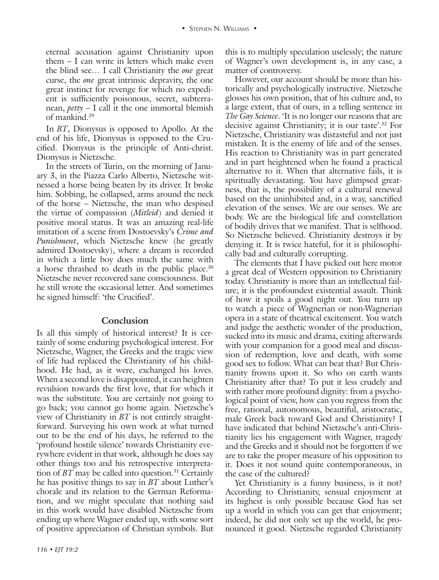eternal accusation against Christianity upon them – I can write in letters which make even the blind see… I call Christianity the *one* great curse, the *one* great intrinsic depravity, the one great instinct for revenge for which no expedient is sufficiently poisonous, secret, subterranean, *petty* – I call it the one immortal blemish of mankind.29

In *BT*, Dionysus is opposed to Apollo. At the end of his life, Dionysus is opposed to the Crucified. Dionysus is the principle of Anti-christ. Dionysus is Nietzsche.

In the streets of Turin, on the morning of January 3, in the Piazza Carlo Alberto, Nietzsche witnessed a horse being beaten by its driver. It broke him. Sobbing, he collapsed, arms around the neck of the horse – Nietzsche, the man who despised the virtue of compassion (*Mitleid*) and denied it positive moral status. It was an amazing real-life imitation of a scene from Dostoevsky's *Crime and Punishment*, which Nietzsche knew (he greatly admired Dostoevsky), where a dream is recorded in which a little boy does much the same with a horse thrashed to death in the public place.30 Nietzsche never recovered sane consciousness. But he still wrote the occasional letter. And sometimes he signed himself: 'the Crucified'.

## **Conclusion**

Is all this simply of historical interest? It is certainly of some enduring psychological interest. For Nietzsche, Wagner, the Greeks and the tragic view of life had replaced the Christianity of his childhood. He had, as it were, exchanged his loves. When a second love is disappointed, it can heighten revulsion towards the first love, that for which it was the substitute. You are certainly not going to go back; you cannot go home again. Nietzsche's view of Christianity in *BT* is not entirely straightforward. Surveying his own work at what turned out to be the end of his days, he referred to the 'profound hostile silence' towards Christianity everywhere evident in that work, although he does say other things too and his retrospective interpretation of *BT* may be called into question.<sup>31</sup> Certainly he has positive things to say in *BT* about Luther's chorale and its relation to the German Reformation, and we might speculate that nothing said in this work would have disabled Nietzsche from ending up where Wagner ended up, with some sort of positive appreciation of Christian symbols. But

this is to multiply speculation uselessly; the nature of Wagner's own development is, in any case, a matter of controversy.

However, our account should be more than historically and psychologically instructive. Nietzsche glosses his own position, that of his culture and, to a large extent, that of ours, in a telling sentence in *The Gay Science*. 'It is no longer our reasons that are decisive against Christianity; it is our taste'.32 For Nietzsche, Christianity was distasteful and not just mistaken. It is the enemy of life and of the senses. His reaction to Christianity was in part generated and in part heightened when he found a practical alternative to it. When that alternative fails, it is spiritually devastating. You have glimpsed greatness, that is, the possibility of a cultural renewal based on the uninhibited and, in a way, sanctified elevation of the senses. We are our senses. We are body. We are the biological life and constellation of bodily drives that we manifest. That is selfhood. So Nietzsche believed. Christianity destroys it by denying it. It is twice hateful, for it is philosophically bad and culturally corrupting.

The elements that I have picked out here motor a great deal of Western opposition to Christianity today. Christianity is more than an intellectual failure; it is the profoundest existential assault. Think of how it spoils a good night out. You turn up to watch a piece of Wagnerian or non-Wagnerian opera in a state of theatrical excitement. You watch and judge the aesthetic wonder of the production, sucked into its music and drama, exiting afterwards with your companion for a good meal and discussion of redemption, love and death, with some good sex to follow. What can beat that? But Christianity frowns upon it. So who on earth wants Christianity after that? To put it less crudely and with rather more profound dignity: from a psychological point of view, how can you regress from the free, rational, autonomous, beautiful, aristocratic, male Greek back toward God and Christianity? I have indicated that behind Nietzsche's anti-Christianity lies his engagement with Wagner, tragedy and the Greeks and it should not be forgotten if we are to take the proper measure of his opposition to it. Does it not sound quite contemporaneous, in the case of the cultured?

Yet Christianity is a funny business, is it not? According to Christianity, sensual enjoyment at its highest is only possible because God has set up a world in which you can get that enjoyment; indeed, he did not only set up the world, he pronounced it good. Nietzsche regarded Christianity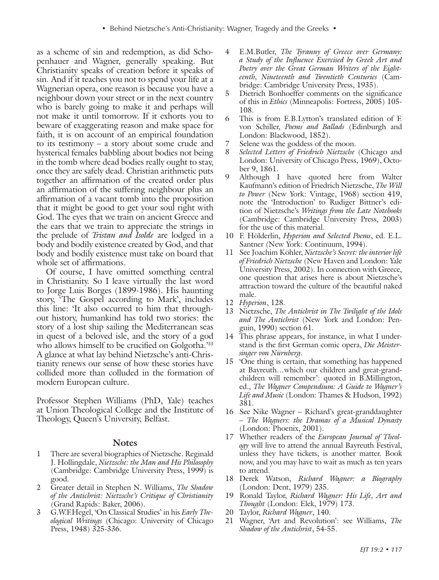as a scheme of sin and redemption, as did Schopenhauer and Wagner, generally speaking. But Christianity speaks of creation before it speaks of sin. And if it teaches you not to spend your life at a Wagnerian opera, one reason is because you have a neighbour down your street or in the next country who is barely going to make it and perhaps will not make it until tomorrow. If it exhorts you to beware of exaggerating reason and make space for faith, it is on account of an empirical foundation to its testimony – a story about some crude and hysterical females babbling about bodies not being in the tomb where dead bodies really ought to stay, once they are safely dead. Christian arithmetic puts together an affirmation of the created order plus an affirmation of the suffering neighbour plus an affirmation of a vacant tomb into the proposition that it might be good to get your soul right with God. The eyes that we train on ancient Greece and the ears that we train to appreciate the strings in the prelude of *Tristan and Isolde* are lodged in a body and bodily existence created by God, and that body and bodily existence must take on board that whole set of affirmations.

Of course, I have omitted something central in Christianity. So I leave virtually the last word to Jorge Luis Borges (1899-1986). His haunting story, 'The Gospel according to Mark', includes this line: 'It also occurred to him that throughout history, humankind has told two stories: the story of a lost ship sailing the Mediterranean seas in quest of a beloved isle, and the story of a god who allows himself to be crucified on Golgotha.<sup>333</sup> A glance at what lay behind Nietzsche's anti-Christianity renews our sense of how these stories have collided more than colluded in the formation of modern European culture.

Professor Stephen Williams (PhD, Yale) teaches at Union Theological College and the Institute of Theology, Queen's University, Belfast.

#### **Notes**

- 1 There are several biographies of Nietzsche. Reginald J. Hollingdale, *Nietzsche: the Man and His Philosophy* (Cambridge: Cambridge University Press, 1999) is good.
- 2 Greater detail in Stephen N. Williams, *The Shadow of the Antichrist: Nietzsche's Critique of Christianity* (Grand Rapids: Baker, 2006).
- 3 G.W.F.Hegel, 'On Classical Studies' in his *Early Theological Writings* (Chicago: University of Chicago Press, 1948) 325-336.
- 4 E.M.Butler, *The Tyranny of Greece over Germany: a Study of the Influence Exercised by Greek Art and Poetry over the Great German Writers of the Eighteenth, Nineteenth and Twentieth Centuries* (Cambridge: Cambridge University Press, 1935).
- 5 Dietrich Bonhoeffer comments on the significance of this in *Ethics* (Minneapolis: Fortress, 2005) 105- 108.
- 6 This is from E.B.Lytton's translated edition of F. von Schiller, *Poems and Ballads* (Edinburgh and London: Blackwood, 1852).
- 7 Selene was the goddess of the moon.
- 8 *Selected Letters of Friedrich Nietzsche* (Chicago and London: University of Chicago Press, 1969), October 9, 1861.
- 9 Although I have quoted here from Walter Kaufmann's edition of Friedrich Nietzsche, *The Will to Power* (New York: Vintage, 1968) section 419, note the 'Introduction' to Rudiger Bittner's edition of Nietzsche's *Writings from the Late Notebooks*  (Cambridge: Cambridge University Press, 2003) for the use of this material.
- 10 F. Hölderlin, *Hyperion and Selected Poems*, ed. E.L. Santner (New York: Continuum, 1994).
- 11 See Joachim Köhler, *Nietzsche's Secret: the interior life of Friedrich Nietzsche* (New Haven and London: Yale University Press, 2002). In connection with Greece, one question that arises here is about Nietzsche's attraction toward the culture of the beautiful naked male.
- 12 *Hyperion*, 128.
- 13 Nietzsche, *The Antichrist in The Twilight of the Idols and The Antichrist* (New York and London: Penguin, 1990) section 61.
- 14 This phrase appears, for instance, in what I understand is the first German comic opera, *Die Meistersinger von Nürnberg*.
- 15 'One thing is certain, that something has happened at Bayreuth…which our children and great-grandchildren will remember': quoted in B.Millington, ed., *The Wagner Compendium: A Guide to Wagner's Life and Music* (London: Thames & Hudson, 1992) 381.
- 16 See Nike Wagner Richard's great-granddaughter – *The Wagners: the Dramas of a Musical Dynasty* (London: Phoenix, 2001).
- 17 Whether readers of the *European Journal of Theology* will live to attend the annual Bayreuth Festival, unless they have tickets, is another matter. Book now, and you may have to wait as much as ten years to attend.
- 18 Derek Watson, *Richard Wagner: a Biography* (London: Dent, 1979) 235.
- 19 Ronald Taylor, *Richard Wagner: His Life, Art and Thought* (London: Elek, 1979) 173.
- 20 Taylor, *Richard Wagner*, 140.
- 21 Wagner, 'Art and Revolution': see Williams, *The Shadow of the Antichrist*, 54-55.